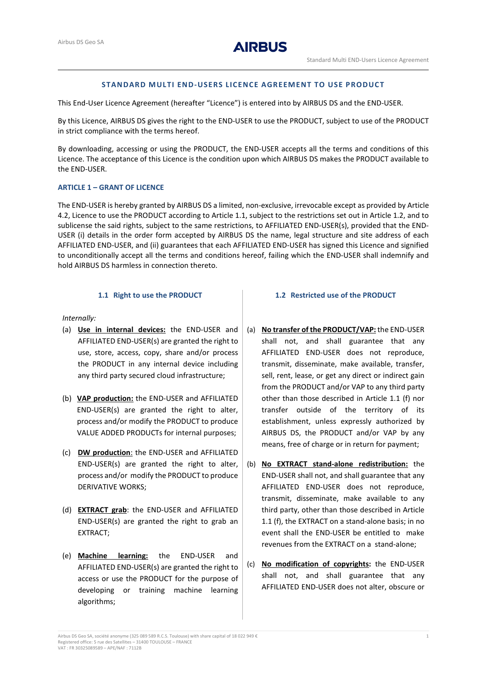# **STANDARD MULTI END-USERS LICENCE AGREEMENT TO USE PRODUCT**

This End-User Licence Agreement (hereafter "Licence") is entered into by AIRBUS DS and the END-USER.

By this Licence, AIRBUS DS gives the right to the END-USER to use the PRODUCT, subject to use of the PRODUCT in strict compliance with the terms hereof.

By downloading, accessing or using the PRODUCT, the END-USER accepts all the terms and conditions of this Licence. The acceptance of this Licence is the condition upon which AIRBUS DS makes the PRODUCT available to the END-USER.

### **ARTICLE 1 – GRANT OF LICENCE**

The END-USER is hereby granted by AIRBUS DS a limited, non-exclusive, irrevocable except as provided by Article [4.2,](#page-2-0) Licence to use the PRODUCT according to Articl[e 1.1,](#page-0-0) subject to the restrictions set out in Article 1.2, and to sublicense the said rights, subject to the same restrictions, to AFFILIATED END-USER(s), provided that the END-USER (i) details in the order form accepted by AIRBUS DS the name, legal structure and site address of each AFFILIATED END-USER, and (ii) guarantees that each AFFILIATED END-USER has signed this Licence and signified to unconditionally accept all the terms and conditions hereof, failing which the END-USER shall indemnify and hold AIRBUS DS harmless in connection thereto.

# **1.1 Right to use the PRODUCT**

<span id="page-0-0"></span>*Internally:*

- (a) **Use in internal devices:** the END-USER and AFFILIATED END-USER(s) are granted the right to use, store, access, copy, share and/or process the PRODUCT in any internal device including any third party secured cloud infrastructure;
- (b) **VAP production:** the END-USER and AFFILIATED END-USER(s) are granted the right to alter, process and/or modify the PRODUCT to produce VALUE ADDED PRODUCTs for internal purposes;
- (c) **DW production**: the END-USER and AFFILIATED END-USER(s) are granted the right to alter, process and/or modify the PRODUCT to produce DERIVATIVE WORKS;
- (d) **EXTRACT grab**: the END-USER and AFFILIATED END-USER(s) are granted the right to grab an EXTRACT;
- (e) **Machine learning:** the END-USER and AFFILIATED END-USER(s) are granted the right to access or use the PRODUCT for the purpose of developing or training machine learning algorithms;

#### **1.2 Restricted use of the PRODUCT**

- (a) **No transfer of the PRODUCT/VAP:** the END-USER shall not, and shall guarantee that any AFFILIATED END-USER does not reproduce, transmit, disseminate, make available, transfer, sell, rent, lease, or get any direct or indirect gain from the PRODUCT and/or VAP to any third party other than those described in Article 1.1 [\(f\)](#page-1-0) nor transfer outside of the territory of its establishment, unless expressly authorized by AIRBUS DS, the PRODUCT and/or VAP by any means, free of charge or in return for payment;
- (b) **No EXTRACT stand-alone redistribution:** the END-USER shall not, and shall guarantee that any AFFILIATED END-USER does not reproduce, transmit, disseminate, make available to any third party, other than those described in Article 1.1 [\(f\),](#page-1-0) the EXTRACT on a stand-alone basis; in no event shall the END-USER be entitled to make revenues from the EXTRACT on a stand-alone;
- (c) **No modification of copyrights:** the END-USER shall not, and shall guarantee that any AFFILIATED END-USER does not alter, obscure or

Airbus DS Geo SA, société anonyme (325 089 589 R.C.S. Toulouse) with share capital of 18 022 949 € 1 Registered office: 5 rue des Satellites – 31400 TOULOUSE – FRANCE VAT : FR 30325089589 – APE/NAF : 7112B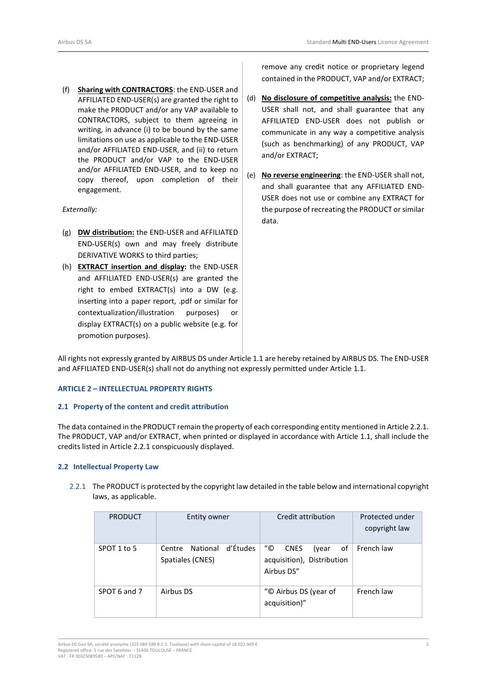<span id="page-1-0"></span>(f) **Sharing with CONTRACTORS**: the END-USER and AFFILIATED END-USER(s) are granted the right to make the PRODUCT and/or any VAP available to CONTRACTORS, subject to them agreeing in writing, in advance (i) to be bound by the same limitations on use as applicable to the END-USER and/or AFFILIATED END-USER, and (ii) to return the PRODUCT and/or VAP to the END-USER and/or AFFILIATED END-USER, and to keep no copy thereof, upon completion of their engagement.

## *Externally:*

- (g) **DW distribution:** the END-USER and AFFILIATED END-USER(s) own and may freely distribute DERIVATIVE WORKS to third parties;
- (h) **EXTRACT insertion and display:** the END-USER and AFFILIATED END-USER(s) are granted the right to embed EXTRACT(s) into a DW (e.g. inserting into a paper report, .pdf or similar for contextualization/illustration purposes) or display EXTRACT(s) on a public website (e.g. for promotion purposes).

remove any credit notice or proprietary legend contained in the PRODUCT, VAP and/or EXTRACT;

- (d) **No disclosure of competitive analysis:** the END-USER shall not, and shall guarantee that any AFFILIATED END-USER does not publish or communicate in any way a competitive analysis (such as benchmarking) of any PRODUCT, VAP and/or EXTRACT;
- (e) **No reverse engineering**: the END-USER shall not, and shall guarantee that any AFFILIATED END-USER does not use or combine any EXTRACT for the purpose of recreating the PRODUCT or similar data.

All rights not expressly granted by AIRBUS DS under Articl[e 1.1](#page-0-0) are hereby retained by AIRBUS DS. The END-USER and AFFILIATED END-USER(s) shall not do anything not expressly permitted under Articl[e 1.1.](#page-0-0)

## **ARTICLE 2 – INTELLECTUAL PROPERTY RIGHTS**

### **2.1 Property of the content and credit attribution**

The data contained in the PRODUCT remain the property of each corresponding entity mentioned in Article 2.2.1. The PRODUCT, VAP and/or EXTRACT, when printed or displayed in accordance with Articl[e 1.1,](#page-0-0) shall include the credits listed in Article 2.2.1 conspicuously displayed.

#### **2.2 Intellectual Property Law**

2.2.1 The PRODUCT is protected by the copyright law detailed in the table below and international copyright laws, as applicable.

| <b>PRODUCT</b> | Entity owner                                       | Credit attribution                                                           | Protected under<br>copyright law |
|----------------|----------------------------------------------------|------------------------------------------------------------------------------|----------------------------------|
| SPOT 1 to 5    | d'Études<br>National<br>Centre<br>Spatiales (CNES) | "©<br><b>CNES</b><br>of<br>(year<br>acquisition), Distribution<br>Airbus DS" | French law                       |
| SPOT 6 and 7   | Airbus DS                                          | "© Airbus DS (year of<br>acquisition)"                                       | French law                       |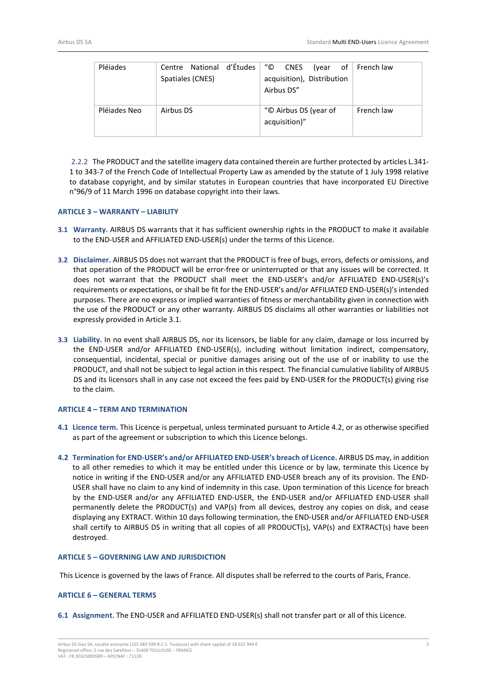| Pléjades     | Centre National d'Études | "©<br><b>CNES</b><br>(vear | of $\vert$ French law |
|--------------|--------------------------|----------------------------|-----------------------|
|              | Spatiales (CNES)         | acquisition), Distribution |                       |
|              |                          | Airbus DS"                 |                       |
|              |                          |                            |                       |
| Pléjades Neo | Airbus DS                | "© Airbus DS (year of      | French law            |
|              |                          | acquisition)"              |                       |
|              |                          |                            |                       |

2.2.2 The PRODUCT and the satellite imagery data contained therein are further protected by articles L.341- 1 to 343-7 of the French Code of Intellectual Property Law as amended by the statute of 1 July 1998 relative to database copyright, and by similar statutes in European countries that have incorporated EU Directive n°96/9 of 11 March 1996 on database copyright into their laws.

### **ARTICLE 3 – WARRANTY – LIABILITY**

- <span id="page-2-1"></span>**3.1 Warranty.** AIRBUS DS warrants that it has sufficient ownership rights in the PRODUCT to make it available to the END-USER and AFFILIATED END-USER(s) under the terms of this Licence.
- **3.2 Disclaimer.** AIRBUS DS does not warrant that the PRODUCT is free of bugs, errors, defects or omissions, and that operation of the PRODUCT will be error-free or uninterrupted or that any issues will be corrected. It does not warrant that the PRODUCT shall meet the END-USER's and/or AFFILIATED END-USER(s)'s requirements or expectations, or shall be fit for the END-USER's and/or AFFILIATED END-USER(s)'s intended purposes. There are no express or implied warranties of fitness or merchantability given in connection with the use of the PRODUCT or any other warranty. AIRBUS DS disclaims all other warranties or liabilities not expressly provided in Article [3.1.](#page-2-1)
- **3.3 Liability.** In no event shall AIRBUS DS, nor its licensors, be liable for any claim, damage or loss incurred by the END-USER and/or AFFILIATED END-USER(s), including without limitation indirect, compensatory, consequential, incidental, special or punitive damages arising out of the use of or inability to use the PRODUCT, and shall not be subject to legal action in this respect. The financial cumulative liability of AIRBUS DS and its licensors shall in any case not exceed the fees paid by END-USER for the PRODUCT(s) giving rise to the claim.

## **ARTICLE 4 – TERM AND TERMINATION**

- **4.1 Licence term.** This Licence is perpetual, unless terminated pursuant to Articl[e 4.2,](#page-2-0) or as otherwise specified as part of the agreement or subscription to which this Licence belongs.
- <span id="page-2-0"></span>**4.2 Termination for END**-**USER's and/or AFFILIATED END-USER's breach of Licence.** AIRBUS DS may, in addition to all other remedies to which it may be entitled under this Licence or by law, terminate this Licence by notice in writing if the END-USER and/or any AFFILIATED END-USER breach any of its provision. The END-USER shall have no claim to any kind of indemnity in this case. Upon termination of this Licence for breach by the END-USER and/or any AFFILIATED END-USER, the END-USER and/or AFFILIATED END-USER shall permanently delete the PRODUCT(s) and VAP(s) from all devices, destroy any copies on disk, and cease displaying any EXTRACT. Within 10 days following termination, the END-USER and/or AFFILIATED END-USER shall certify to AIRBUS DS in writing that all copies of all PRODUCT(s), VAP(s) and EXTRACT(s) have been destroyed.

### **ARTICLE 5 – GOVERNING LAW AND JURISDICTION**

This Licence is governed by the laws of France. All disputes shall be referred to the courts of Paris, France.

### **ARTICLE 6 – GENERAL TERMS**

**6.1 Assignment**. The END-USER and AFFILIATED END-USER(s) shall not transfer part or all of this Licence.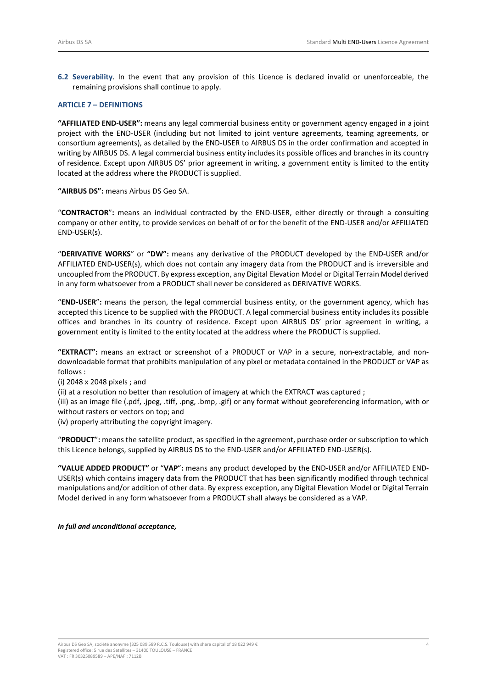**6.2 Severability**. In the event that any provision of this Licence is declared invalid or unenforceable, the remaining provisions shall continue to apply.

### **ARTICLE 7 – DEFINITIONS**

**"AFFILIATED END-USER":** means any legal commercial business entity or government agency engaged in a joint project with the END-USER (including but not limited to joint venture agreements, teaming agreements, or consortium agreements), as detailed by the END-USER to AIRBUS DS in the order confirmation and accepted in writing by AIRBUS DS. A legal commercial business entity includes its possible offices and branches in its country of residence. Except upon AIRBUS DS' prior agreement in writing, a government entity is limited to the entity located at the address where the PRODUCT is supplied.

**"AIRBUS DS":** means Airbus DS Geo SA.

"**CONTRACTOR**"**:** means an individual contracted by the END-USER, either directly or through a consulting company or other entity, to provide services on behalf of or for the benefit of the END-USER and/or AFFILIATED END-USER(s).

"**DERIVATIVE WORKS**" or **"DW":** means any derivative of the PRODUCT developed by the END-USER and/or AFFILIATED END-USER(s), which does not contain any imagery data from the PRODUCT and is irreversible and uncoupled from the PRODUCT. By express exception, any Digital Elevation Model or Digital Terrain Model derived in any form whatsoever from a PRODUCT shall never be considered as DERIVATIVE WORKS.

"**END-USER**"**:** means the person, the legal commercial business entity, or the government agency, which has accepted this Licence to be supplied with the PRODUCT. A legal commercial business entity includes its possible offices and branches in its country of residence. Except upon AIRBUS DS' prior agreement in writing, a government entity is limited to the entity located at the address where the PRODUCT is supplied.

**"EXTRACT":** means an extract or screenshot of a PRODUCT or VAP in a secure, non-extractable, and nondownloadable format that prohibits manipulation of any pixel or metadata contained in the PRODUCT or VAP as follows :

(i) 2048 x 2048 pixels ; and

(ii) at a resolution no better than resolution of imagery at which the EXTRACT was captured ;

(iii) as an image file (.pdf, .jpeg, .tiff, .png, .bmp, .gif) or any format without georeferencing information, with or without rasters or vectors on top; and

(iv) properly attributing the copyright imagery.

"**PRODUCT**"**:** means the satellite product, as specified in the agreement, purchase order or subscription to which this Licence belongs, supplied by AIRBUS DS to the END-USER and/or AFFILIATED END-USER(s).

**"VALUE ADDED PRODUCT"** or "**VAP**"**:** means any product developed by the END-USER and/or AFFILIATED END-USER(s) which contains imagery data from the PRODUCT that has been significantly modified through technical manipulations and/or addition of other data. By express exception, any Digital Elevation Model or Digital Terrain Model derived in any form whatsoever from a PRODUCT shall always be considered as a VAP.

*In full and unconditional acceptance,*